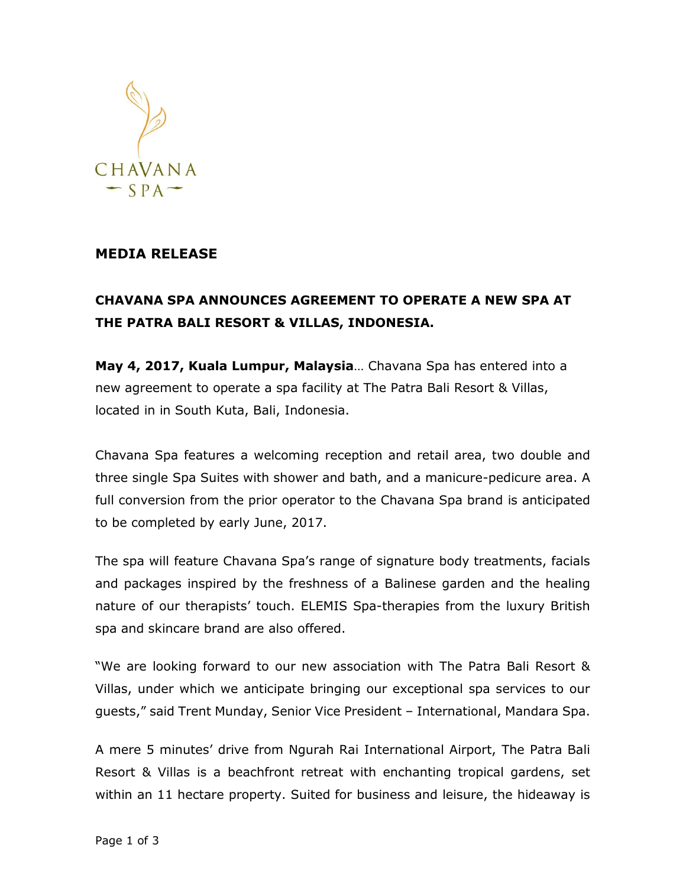

## **MEDIA RELEASE**

## **CHAVANA SPA ANNOUNCES AGREEMENT TO OPERATE A NEW SPA AT THE PATRA BALI RESORT & VILLAS, INDONESIA.**

**May 4, 2017, Kuala Lumpur, Malaysia**… Chavana Spa has entered into a new agreement to operate a spa facility at The Patra Bali Resort & Villas, located in in South Kuta, Bali, Indonesia.

Chavana Spa features a welcoming reception and retail area, two double and three single Spa Suites with shower and bath, and a manicure-pedicure area. A full conversion from the prior operator to the Chavana Spa brand is anticipated to be completed by early June, 2017.

The spa will feature Chavana Spa's range of signature body treatments, facials and packages inspired by the freshness of a Balinese garden and the healing nature of our therapists' touch. ELEMIS Spa-therapies from the luxury British spa and skincare brand are also offered.

"We are looking forward to our new association with The Patra Bali Resort & Villas, under which we anticipate bringing our exceptional spa services to our guests," said Trent Munday, Senior Vice President – International, Mandara Spa.

A mere 5 minutes' drive from Ngurah Rai International Airport, The Patra Bali Resort & Villas is a beachfront retreat with enchanting tropical gardens, set within an 11 hectare property. Suited for business and leisure, the hideaway is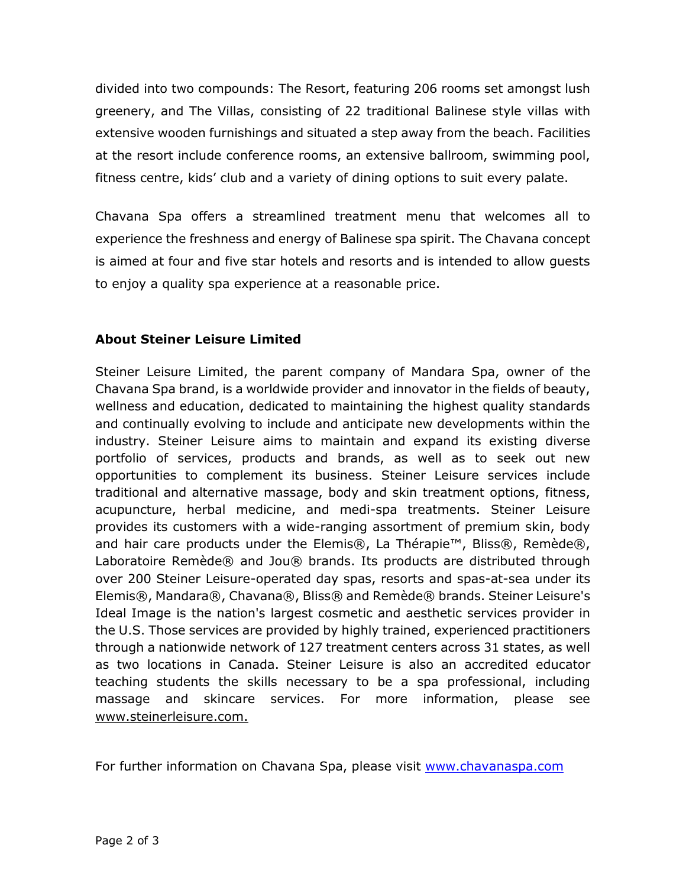divided into two compounds: The Resort, featuring 206 rooms set amongst lush greenery, and The Villas, consisting of 22 traditional Balinese style villas with extensive wooden furnishings and situated a step away from the beach. Facilities at the resort include conference rooms, an extensive ballroom, swimming pool, fitness centre, kids' club and a variety of dining options to suit every palate.

Chavana Spa offers a streamlined treatment menu that welcomes all to experience the freshness and energy of Balinese spa spirit. The Chavana concept is aimed at four and five star hotels and resorts and is intended to allow guests to enjoy a quality spa experience at a reasonable price.

## **About Steiner Leisure Limited**

Steiner Leisure Limited, the parent company of Mandara Spa, owner of the Chavana Spa brand, is a worldwide provider and innovator in the fields of beauty, wellness and education, dedicated to maintaining the highest quality standards and continually evolving to include and anticipate new developments within the industry. Steiner Leisure aims to maintain and expand its existing diverse portfolio of services, products and brands, as well as to seek out new opportunities to complement its business. Steiner Leisure services include traditional and alternative massage, body and skin treatment options, fitness, acupuncture, herbal medicine, and medi-spa treatments. Steiner Leisure provides its customers with a wide-ranging assortment of premium skin, body and hair care products under the Elemis®, La Thérapie™, Bliss®, Remède®, Laboratoire Remède® and Jou® brands. Its products are distributed through over 200 Steiner Leisure-operated day spas, resorts and spas-at-sea under its Elemis®, Mandara®, Chavana®, Bliss® and Remède® brands. Steiner Leisure's Ideal Image is the nation's largest cosmetic and aesthetic services provider in the U.S. Those services are provided by highly trained, experienced practitioners through a nationwide network of 127 treatment centers across 31 states, as well as two locations in Canada. Steiner Leisure is also an accredited educator teaching students the skills necessary to be a spa professional, including massage and skincare services. For more information, please see [www.steinerleisure.com.](http://www.steinerleisure.com./)

For further information on Chavana Spa, please visit [www.chavanaspa.com](http://www.chavanaspa.com/)